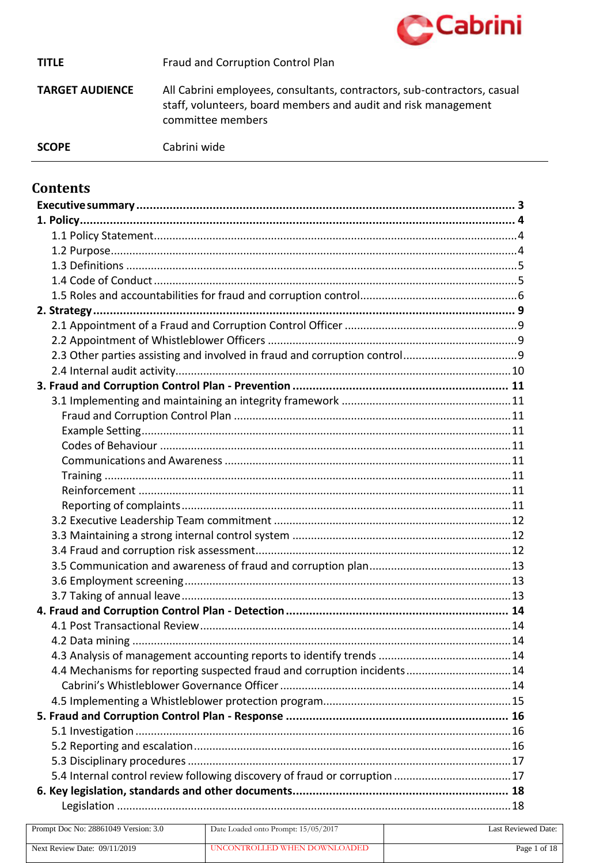

#### Fraud and Corruption Control Plan **TITLE**

**TARGET AUDIENCE** All Cabrini employees, consultants, contractors, sub-contractors, casual staff, volunteers, board members and audit and risk management committee members

#### **SCOPE**

Cabrini wide

# **Contents**

| 4.4 Mechanisms for reporting suspected fraud and corruption incidents 14  |  |
|---------------------------------------------------------------------------|--|
|                                                                           |  |
|                                                                           |  |
|                                                                           |  |
|                                                                           |  |
|                                                                           |  |
|                                                                           |  |
| 5.4 Internal control review following discovery of fraud or corruption 17 |  |
|                                                                           |  |
|                                                                           |  |

| Prompt Doc No: 28861049 Version: 3.0 | Date Loaded onto Prompt: 15/05/2017 | Last Reviewed Date: |
|--------------------------------------|-------------------------------------|---------------------|
| Next Review Date: $09/11/2019$       | UNCONTROLLED WHEN DOWNLOADED        | Page 1 of 18        |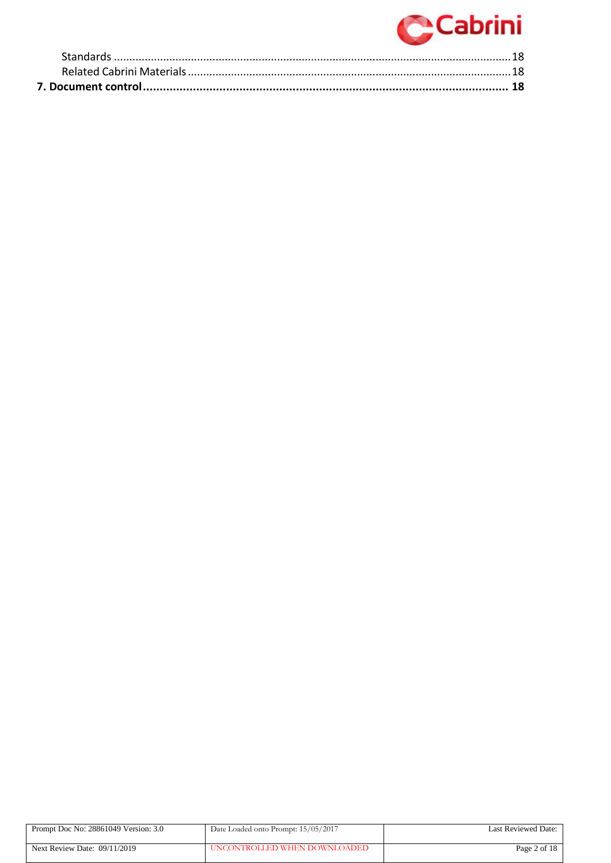

| Prompt Doc No: 28861049 Version: 3.0 | Date Loaded onto Prompt: 15/05/2017 | Last Reviewed Date: |
|--------------------------------------|-------------------------------------|---------------------|
| Next Review Date: $09/11/2019$       | UNCONTROLLED WHEN DOWNLOADED        | Page 2 of $18$      |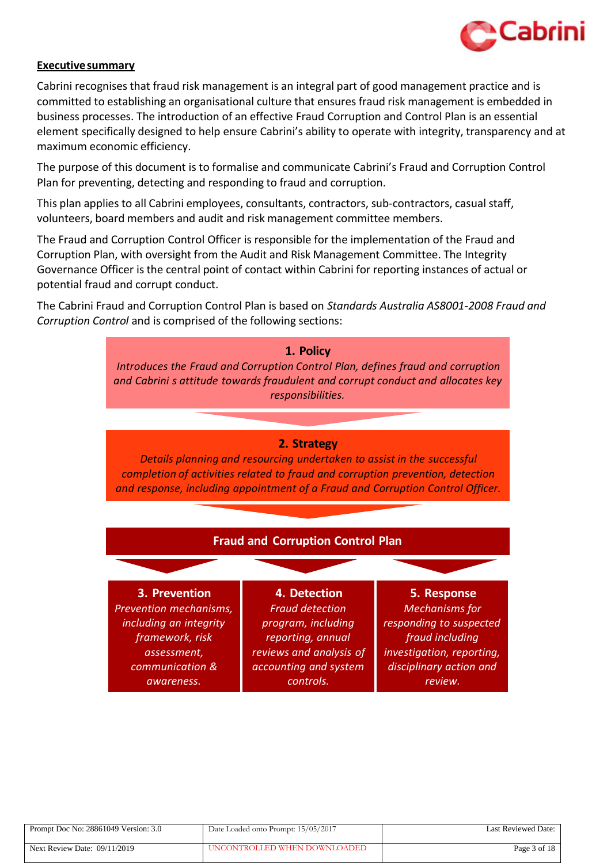

#### <span id="page-2-0"></span>**Executivesummary**

Cabrini recognises that fraud risk management is an integral part of good management practice and is committed to establishing an organisational culture that ensures fraud risk management is embedded in business processes. The introduction of an effective Fraud Corruption and Control Plan is an essential element specifically designed to help ensure Cabrini's ability to operate with integrity, transparency and at maximum economic efficiency.

The purpose of this document is to formalise and communicate Cabrini's Fraud and Corruption Control Plan for preventing, detecting and responding to fraud and corruption.

This plan applies to all Cabrini employees, consultants, contractors, sub-contractors, casual staff, volunteers, board members and audit and risk management committee members.

The Fraud and Corruption Control Officer is responsible for the implementation of the Fraud and Corruption Plan, with oversight from the Audit and Risk Management Committee. The Integrity Governance Officer is the central point of contact within Cabrini for reporting instances of actual or potential fraud and corrupt conduct.

The Cabrini Fraud and Corruption Control Plan is based on *Standards Australia AS8001-2008 Fraud and Corruption Control* and is comprised of the following sections:



| Prompt Doc No: 28861049 Version: 3.0 | Date Loaded onto Prompt: 15/05/2017 | Last Reviewed Date: |
|--------------------------------------|-------------------------------------|---------------------|
| Next Review Date: 09/11/2019         | UNCONTROLLED WHEN DOWNLOADED        | Page 3 of 18        |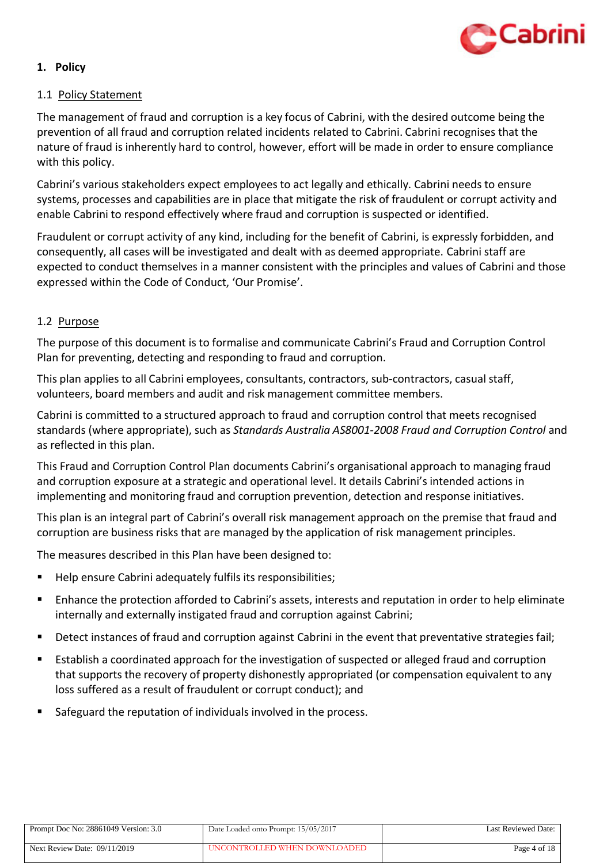

# <span id="page-3-0"></span>**1. Policy**

# <span id="page-3-1"></span>1.1 Policy Statement

The management of fraud and corruption is a key focus of Cabrini, with the desired outcome being the prevention of all fraud and corruption related incidents related to Cabrini. Cabrini recognises that the nature of fraud is inherently hard to control, however, effort will be made in order to ensure compliance with this policy.

Cabrini's various stakeholders expect employees to act legally and ethically. Cabrini needs to ensure systems, processes and capabilities are in place that mitigate the risk of fraudulent or corrupt activity and enable Cabrini to respond effectively where fraud and corruption is suspected or identified.

Fraudulent or corrupt activity of any kind, including for the benefit of Cabrini, is expressly forbidden, and consequently, all cases will be investigated and dealt with as deemed appropriate. Cabrini staff are expected to conduct themselves in a manner consistent with the principles and values of Cabrini and those expressed within the Code of Conduct, 'Our Promise'.

# <span id="page-3-2"></span>1.2 Purpose

The purpose of this document is to formalise and communicate Cabrini's Fraud and Corruption Control Plan for preventing, detecting and responding to fraud and corruption.

This plan applies to all Cabrini employees, consultants, contractors, sub-contractors, casual staff, volunteers, board members and audit and risk management committee members.

Cabrini is committed to a structured approach to fraud and corruption control that meets recognised standards (where appropriate), such as *Standards Australia AS8001-2008 Fraud and Corruption Control* and as reflected in this plan.

This Fraud and Corruption Control Plan documents Cabrini's organisational approach to managing fraud and corruption exposure at a strategic and operational level. It details Cabrini's intended actions in implementing and monitoring fraud and corruption prevention, detection and response initiatives.

This plan is an integral part of Cabrini's overall risk management approach on the premise that fraud and corruption are business risks that are managed by the application of risk management principles.

The measures described in this Plan have been designed to:

- Help ensure Cabrini adequately fulfils its responsibilities;
- Enhance the protection afforded to Cabrini's assets, interests and reputation in order to help eliminate internally and externally instigated fraud and corruption against Cabrini;
- Detect instances of fraud and corruption against Cabrini in the event that preventative strategies fail;
- Establish a coordinated approach for the investigation of suspected or alleged fraud and corruption that supports the recovery of property dishonestly appropriated (or compensation equivalent to any loss suffered as a result of fraudulent or corrupt conduct); and
- Safeguard the reputation of individuals involved in the process.

| Prompt Doc No: 28861049 Version: 3.0 | Date Loaded onto Prompt: 15/05/2017 | Last Reviewed Date: |
|--------------------------------------|-------------------------------------|---------------------|
| Next Review Date: 09/11/2019         | UNCONTROLLED WHEN DOWNLOADED        | Page 4 of 18        |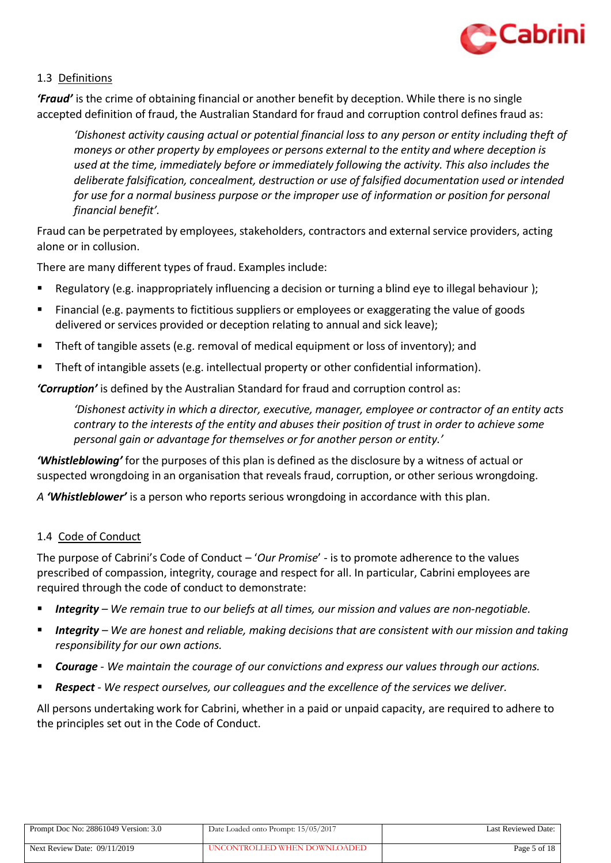

# <span id="page-4-0"></span>1.3 Definitions

*'Fraud'* is the crime of obtaining financial or another benefit by deception. While there is no single accepted definition of fraud, the Australian Standard for fraud and corruption control defines fraud as:

*'Dishonest activity causing actual or potential financial loss to any person or entity including theft of moneys or other property by employees or persons external to the entity and where deception is used at the time, immediately before or immediately following the activity. This also includes the deliberate falsification, concealment, destruction or use of falsified documentation used or intended for use for a normal business purpose or the improper use of information or position for personal financial benefit'.*

Fraud can be perpetrated by employees, stakeholders, contractors and externalservice providers, acting alone or in collusion.

There are many different types of fraud. Examples include:

- Regulatory (e.g. inappropriately influencing a decision or turning a blind eye to illegal behaviour );
- Financial (e.g. payments to fictitious suppliers or employees or exaggerating the value of goods delivered or services provided or deception relating to annual and sick leave);
- **Theft of tangible assets (e.g. removal of medical equipment or loss of inventory); and**
- Theft of intangible assets (e.g. intellectual property or other confidential information).

*'Corruption'* is defined by the Australian Standard for fraud and corruption control as:

*'Dishonest activity in which a director, executive, manager, employee or contractor of an entity acts contrary to the interests of the entity and abuses their position of trust in order to achieve some personal gain or advantage for themselves or for another person or entity.'*

*'Whistleblowing'* for the purposes of this plan is defined as the disclosure by a witness of actual or suspected wrongdoing in an organisation that reveals fraud, corruption, or other serious wrongdoing.

*A 'Whistleblower'* is a person who reports serious wrongdoing in accordance with this plan.

#### <span id="page-4-1"></span>1.4 Code of Conduct

The purpose of Cabrini's Code of Conduct – '*Our Promise*' - is to promote adherence to the values prescribed of compassion, integrity, courage and respect for all. In particular, Cabrini employees are required through the code of conduct to demonstrate:

- *Integrity – We remain true to our beliefs at all times, our mission and values are non-negotiable.*
- *Integrity – We are honest and reliable, making decisions that are consistent with our mission and taking responsibility for our own actions.*
- *Courage We maintain the courage of our convictions and express our values through our actions.*
- *Respect We respect ourselves, our colleagues and the excellence of the services we deliver.*

All persons undertaking work for Cabrini, whether in a paid or unpaid capacity, are required to adhere to the principles set out in the Code of Conduct.

| Prompt Doc No: 28861049 Version: 3.0 | Date Loaded onto Prompt: 15/05/2017 | Last Reviewed Date: |
|--------------------------------------|-------------------------------------|---------------------|
| Next Review Date: $09/11/2019$       | UNCONTROLLED WHEN DOWNLOADED        | Page 5 of 18        |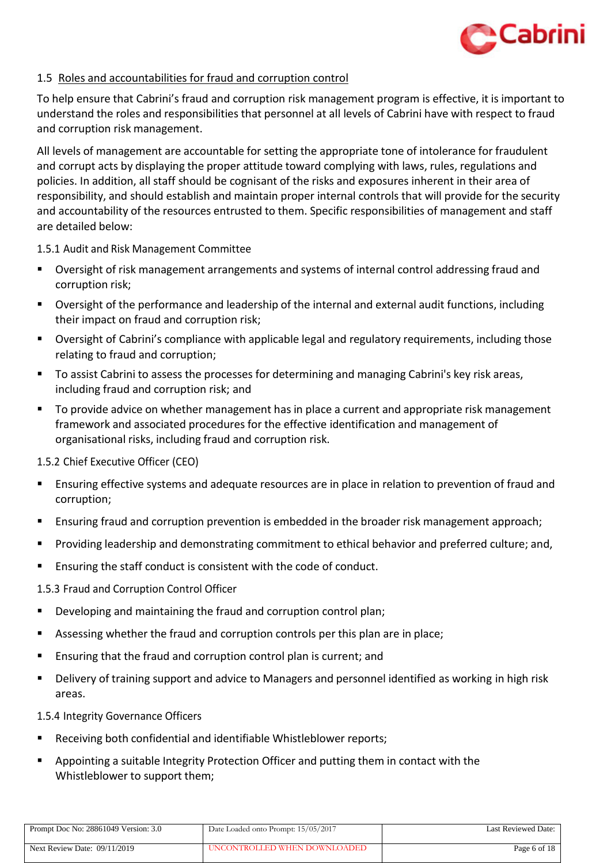

# <span id="page-5-0"></span>1.5 Roles and accountabilities for fraud and corruption control

To help ensure that Cabrini's fraud and corruption risk management program is effective, it is important to understand the roles and responsibilities that personnel at all levels of Cabrini have with respect to fraud and corruption risk management.

All levels of management are accountable for setting the appropriate tone of intolerance for fraudulent and corrupt acts by displaying the proper attitude toward complying with laws, rules, regulations and policies. In addition, all staff should be cognisant of the risks and exposures inherent in their area of responsibility, and should establish and maintain proper internal controls that will provide for the security and accountability of the resources entrusted to them. Specific responsibilities of management and staff are detailed below:

1.5.1 Audit and Risk Management Committee

- Oversight of risk management arrangements and systems of internal control addressing fraud and corruption risk;
- Oversight of the performance and leadership of the internal and external audit functions, including their impact on fraud and corruption risk;
- Oversight of Cabrini's compliance with applicable legal and regulatory requirements, including those relating to fraud and corruption;
- To assist Cabrini to assess the processes for determining and managing Cabrini's key risk areas, including fraud and corruption risk; and
- To provide advice on whether management has in place a current and appropriate risk management framework and associated procedures for the effective identification and management of organisational risks, including fraud and corruption risk.

1.5.2 Chief Executive Officer (CEO)

- Ensuring effective systems and adequate resources are in place in relation to prevention of fraud and corruption;
- Ensuring fraud and corruption prevention is embedded in the broader risk management approach;
- Providing leadership and demonstrating commitment to ethical behavior and preferred culture; and,
- Ensuring the staff conduct is consistent with the code of conduct.
- 1.5.3 Fraud and Corruption Control Officer
- Developing and maintaining the fraud and corruption control plan;
- Assessing whether the fraud and corruption controls per this plan are in place;
- Ensuring that the fraud and corruption control plan is current; and
- Delivery of training support and advice to Managers and personnel identified as working in high risk areas.

1.5.4 Integrity Governance Officers

- Receiving both confidential and identifiable Whistleblower reports;
- **Appointing a suitable Integrity Protection Officer and putting them in contact with the** Whistleblower to support them;

| Prompt Doc No: 28861049 Version: 3.0 | Date Loaded onto Prompt: 15/05/2017 | Last Reviewed Date: |
|--------------------------------------|-------------------------------------|---------------------|
| Next Review Date: $09/11/2019$       | UNCONTROLLED WHEN DOWNLOADED        | Page 6 of 18        |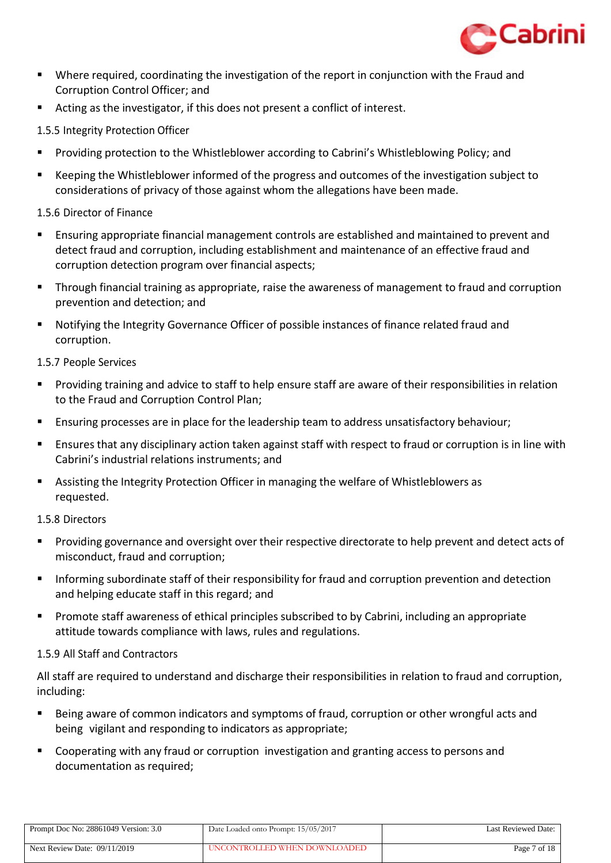

- Where required, coordinating the investigation of the report in conjunction with the Fraud and Corruption Control Officer; and
- Acting as the investigator, if this does not present a conflict of interest.
- 1.5.5 Integrity Protection Officer
- Providing protection to the Whistleblower according to Cabrini's Whistleblowing Policy; and
- Keeping the Whistleblower informed of the progress and outcomes of the investigation subject to considerations of privacy of those against whom the allegations have been made.

# 1.5.6 Director of Finance

- Ensuring appropriate financial management controls are established and maintained to prevent and detect fraud and corruption, including establishment and maintenance of an effective fraud and corruption detection program over financial aspects;
- Through financial training as appropriate, raise the awareness of management to fraud and corruption prevention and detection; and
- Notifying the Integrity Governance Officer of possible instances of finance related fraud and corruption.

# 1.5.7 People Services

- Providing training and advice to staff to help ensure staff are aware of their responsibilities in relation to the Fraud and Corruption Control Plan;
- Ensuring processes are in place for the leadership team to address unsatisfactory behaviour;
- Ensures that any disciplinary action taken against staff with respect to fraud or corruption is in line with Cabrini's industrial relations instruments; and
- Assisting the Integrity Protection Officer in managing the welfare of Whistleblowers as requested.

#### 1.5.8 Directors

- Providing governance and oversight over their respective directorate to help prevent and detect acts of misconduct, fraud and corruption;
- Informing subordinate staff of their responsibility for fraud and corruption prevention and detection and helping educate staff in this regard; and
- Promote staff awareness of ethical principles subscribed to by Cabrini, including an appropriate attitude towards compliance with laws, rules and regulations.

#### 1.5.9 All Staff and Contractors

All staff are required to understand and discharge their responsibilities in relation to fraud and corruption, including:

- Being aware of common indicators and symptoms of fraud, corruption or other wrongful acts and being vigilant and responding to indicators as appropriate;
- Cooperating with any fraud or corruption investigation and granting access to persons and documentation as required;

| Prompt Doc No: 28861049 Version: 3.0 | Date Loaded onto Prompt: 15/05/2017 | Last Reviewed Date: |
|--------------------------------------|-------------------------------------|---------------------|
| Next Review Date: $09/11/2019$       | UNCONTROLLED WHEN DOWNLOADED        | Page 7 of 18        |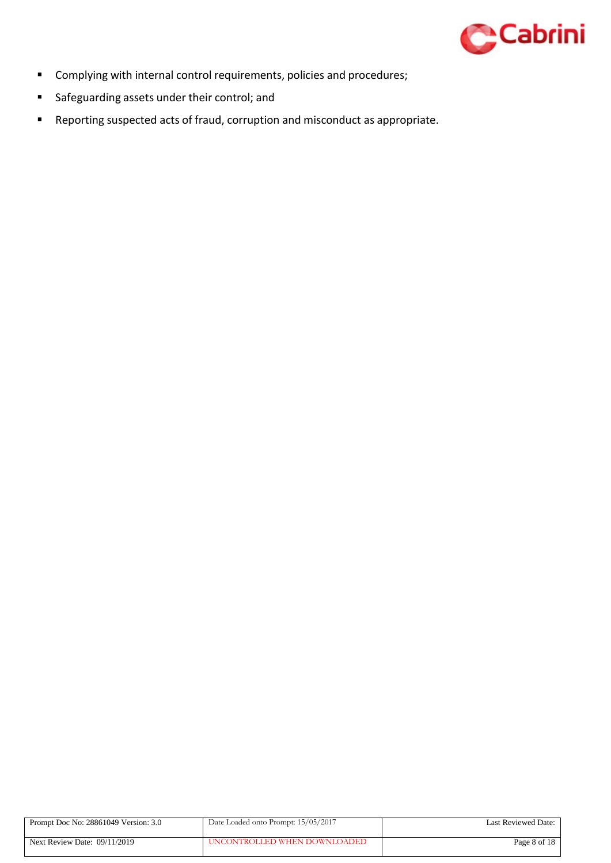

- Complying with internal control requirements, policies and procedures;
- **Safeguarding assets under their control; and**
- Reporting suspected acts of fraud, corruption and misconduct as appropriate.

| Prompt Doc No: 28861049 Version: 3.0 | Date Loaded onto Prompt: 15/05/2017 | Last Reviewed Date: |
|--------------------------------------|-------------------------------------|---------------------|
| Next Review Date: $09/11/2019$       | UNCONTROLLED WHEN DOWNLOADED        | Page 8 of 18        |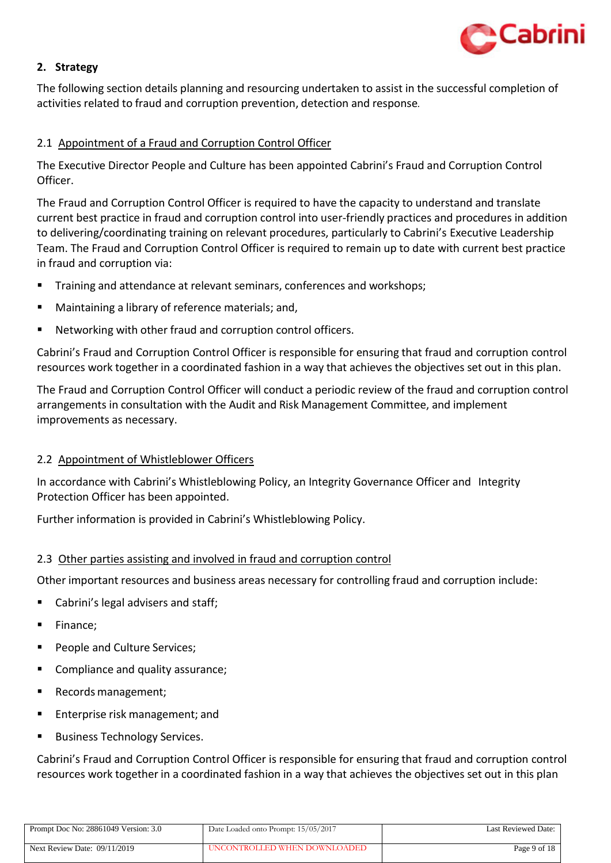

# <span id="page-8-0"></span>**2. Strategy**

The following section details planning and resourcing undertaken to assist in the successful completion of activities related to fraud and corruption prevention, detection and response*.*

# <span id="page-8-1"></span>2.1 Appointment of a Fraud and Corruption Control Officer

The Executive Director People and Culture has been appointed Cabrini's Fraud and Corruption Control Officer.

The Fraud and Corruption Control Officer is required to have the capacity to understand and translate current best practice in fraud and corruption control into user-friendly practices and procedures in addition to delivering/coordinating training on relevant procedures, particularly to Cabrini's Executive Leadership Team. The Fraud and Corruption Control Officer is required to remain up to date with current best practice in fraud and corruption via:

- Training and attendance at relevant seminars, conferences and workshops;
- Maintaining a library of reference materials; and,
- Networking with other fraud and corruption control officers.

Cabrini's Fraud and Corruption Control Officer is responsible for ensuring that fraud and corruption control resources work together in a coordinated fashion in a way that achieves the objectives set out in this plan.

The Fraud and Corruption Control Officer will conduct a periodic review of the fraud and corruption control arrangements in consultation with the Audit and Risk Management Committee, and implement improvements as necessary.

#### <span id="page-8-2"></span>2.2 Appointment of Whistleblower Officers

In accordance with Cabrini's Whistleblowing Policy, an Integrity Governance Officer and Integrity Protection Officer has been appointed.

Further information is provided in Cabrini's Whistleblowing Policy.

#### <span id="page-8-3"></span>2.3 Other parties assisting and involved in fraud and corruption control

Other important resources and business areas necessary for controlling fraud and corruption include:

- Cabrini's legal advisers and staff;
- Finance;
- People and Culture Services;
- Compliance and quality assurance;
- Records management;
- **Enterprise risk management; and**
- Business Technology Services.

Cabrini's Fraud and Corruption Control Officer is responsible for ensuring that fraud and corruption control resources work together in a coordinated fashion in a way that achieves the objectives set out in this plan

| Prompt Doc No: 28861049 Version: 3.0 | Date Loaded onto Prompt: 15/05/2017 | Last Reviewed Date: |
|--------------------------------------|-------------------------------------|---------------------|
| Next Review Date: $09/11/2019$       | UNCONTROLLED WHEN DOWNLOADED        | Page 9 of 18        |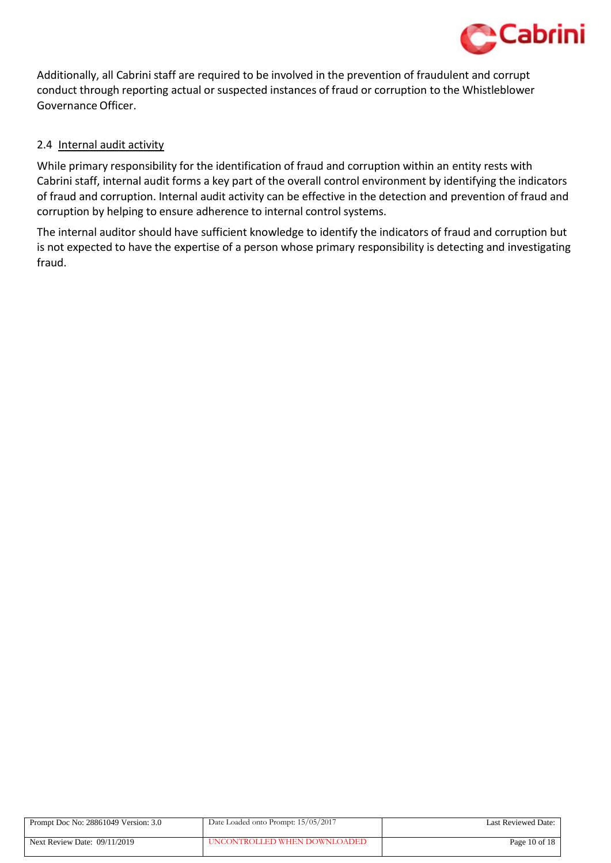

Additionally, all Cabrini staff are required to be involved in the prevention of fraudulent and corrupt conduct through reporting actual or suspected instances of fraud or corruption to the Whistleblower Governance Officer.

# <span id="page-9-0"></span>2.4 Internal audit activity

While primary responsibility for the identification of fraud and corruption within an entity rests with Cabrini staff, internal audit forms a key part of the overall control environment by identifying the indicators of fraud and corruption. Internal audit activity can be effective in the detection and prevention of fraud and corruption by helping to ensure adherence to internal control systems.

The internal auditor should have sufficient knowledge to identify the indicators of fraud and corruption but is not expected to have the expertise of a person whose primary responsibility is detecting and investigating fraud.

| Prompt Doc No: 28861049 Version: 3.0 | Date Loaded onto Prompt: 15/05/2017 | Last Reviewed Date: |
|--------------------------------------|-------------------------------------|---------------------|
| Next Review Date: $09/11/2019$       | UNCONTROLLED WHEN DOWNLOADED        | Page $10$ of $18$   |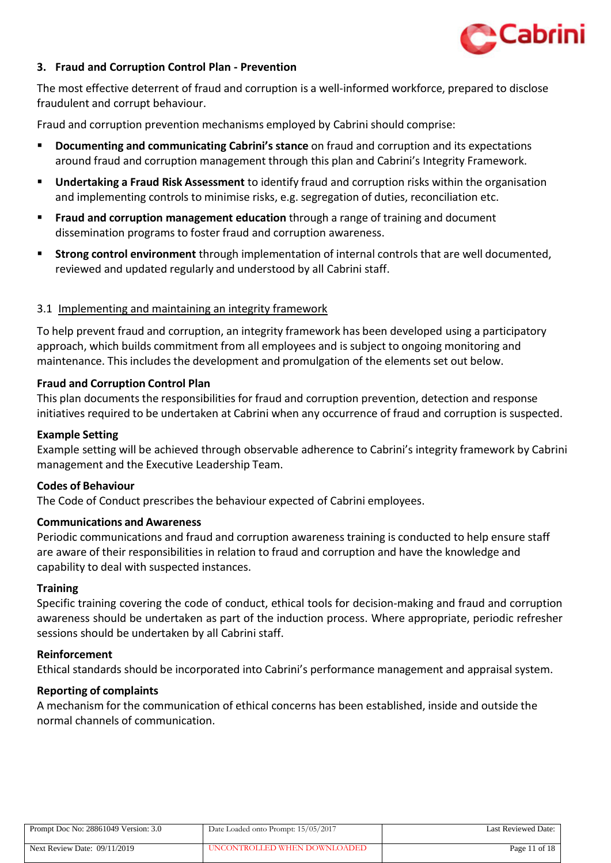

#### <span id="page-10-0"></span>**3. Fraud and Corruption Control Plan - Prevention**

The most effective deterrent of fraud and corruption is a well-informed workforce, prepared to disclose fraudulent and corrupt behaviour.

Fraud and corruption prevention mechanisms employed by Cabrini should comprise:

- **Documenting and communicating Cabrini's stance** on fraud and corruption and its expectations around fraud and corruption management through this plan and Cabrini's Integrity Framework.
- **Undertaking a Fraud Risk Assessment** to identify fraud and corruption risks within the organisation and implementing controls to minimise risks, e.g. segregation of duties, reconciliation etc.
- **Fraud and corruption management education** through a range of training and document dissemination programs to foster fraud and corruption awareness.
- **Strong control environment** through implementation of internal controls that are well documented, reviewed and updated regularly and understood by all Cabrini staff.

#### <span id="page-10-1"></span>3.1 Implementing and maintaining an integrity framework

To help prevent fraud and corruption, an integrity framework has been developed using a participatory approach, which builds commitment from all employees and is subject to ongoing monitoring and maintenance. This includes the development and promulgation of the elements set out below.

#### <span id="page-10-2"></span>**Fraud and Corruption Control Plan**

This plan documents the responsibilities for fraud and corruption prevention, detection and response initiatives required to be undertaken at Cabrini when any occurrence of fraud and corruption is suspected.

#### <span id="page-10-3"></span>**Example Setting**

Example setting will be achieved through observable adherence to Cabrini's integrity framework by Cabrini management and the Executive Leadership Team.

#### <span id="page-10-4"></span>**Codes of Behaviour**

The Code of Conduct prescribes the behaviour expected of Cabrini employees.

#### <span id="page-10-5"></span>**Communications and Awareness**

Periodic communications and fraud and corruption awareness training is conducted to help ensure staff are aware of their responsibilities in relation to fraud and corruption and have the knowledge and capability to deal with suspected instances.

#### <span id="page-10-6"></span>**Training**

Specific training covering the code of conduct, ethical tools for decision-making and fraud and corruption awareness should be undertaken as part of the induction process. Where appropriate, periodic refresher sessions should be undertaken by all Cabrini staff.

#### <span id="page-10-7"></span>**Reinforcement**

Ethical standards should be incorporated into Cabrini's performance management and appraisal system.

#### <span id="page-10-8"></span>**Reporting of complaints**

A mechanism for the communication of ethical concerns has been established, inside and outside the normal channels of communication.

| Prompt Doc No: 28861049 Version: 3.0 | Date Loaded onto Prompt: 15/05/2017 | Last Reviewed Date: |
|--------------------------------------|-------------------------------------|---------------------|
| Next Review Date: 09/11/2019         | UNCONTROLLED WHEN DOWNLOADED        | Page 11 of 18       |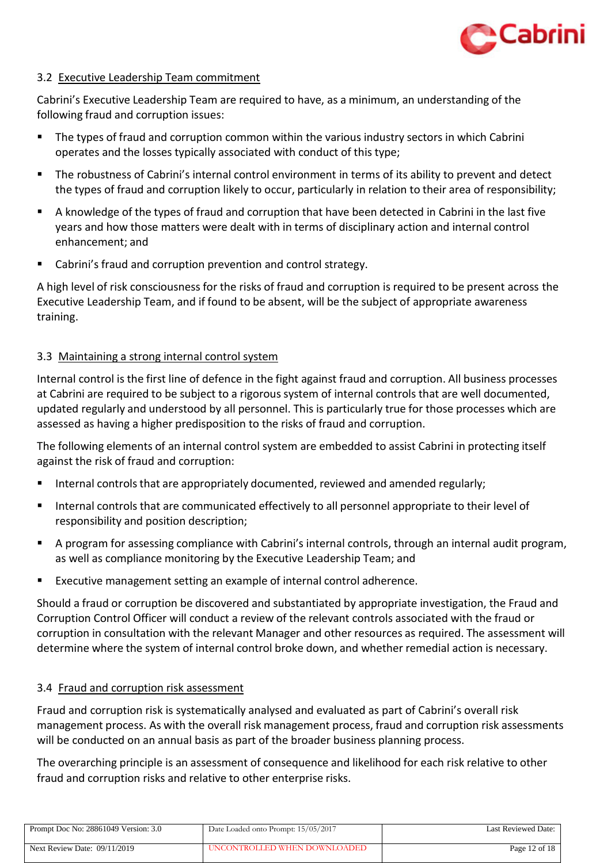

#### <span id="page-11-0"></span>3.2 Executive Leadership Team commitment

Cabrini's Executive Leadership Team are required to have, as a minimum, an understanding of the following fraud and corruption issues:

- The types of fraud and corruption common within the various industry sectors in which Cabrini operates and the losses typically associated with conduct of this type;
- The robustness of Cabrini's internal control environment in terms of its ability to prevent and detect the types of fraud and corruption likely to occur, particularly in relation to their area of responsibility;
- A knowledge of the types of fraud and corruption that have been detected in Cabrini in the last five years and how those matters were dealt with in terms of disciplinary action and internal control enhancement; and
- Cabrini's fraud and corruption prevention and control strategy.

A high level of risk consciousness for the risks of fraud and corruption is required to be present across the Executive Leadership Team, and if found to be absent, will be the subject of appropriate awareness training.

# <span id="page-11-1"></span>3.3 Maintaining a strong internal control system

Internal control is the first line of defence in the fight against fraud and corruption. All business processes at Cabrini are required to be subject to a rigorous system of internal controls that are well documented, updated regularly and understood by all personnel. This is particularly true for those processes which are assessed as having a higher predisposition to the risks of fraud and corruption.

The following elements of an internal control system are embedded to assist Cabrini in protecting itself against the risk of fraud and corruption:

- Internal controls that are appropriately documented, reviewed and amended regularly;
- Internal controls that are communicated effectively to all personnel appropriate to their level of responsibility and position description;
- A program for assessing compliance with Cabrini's internal controls, through an internal audit program, as well as compliance monitoring by the Executive Leadership Team; and
- Executive management setting an example of internal control adherence.

Should a fraud or corruption be discovered and substantiated by appropriate investigation, the Fraud and Corruption Control Officer will conduct a review of the relevant controls associated with the fraud or corruption in consultation with the relevant Manager and other resources as required. The assessment will determine where the system of internal control broke down, and whether remedial action is necessary.

#### <span id="page-11-2"></span>3.4 Fraud and corruption risk assessment

Fraud and corruption risk is systematically analysed and evaluated as part of Cabrini's overall risk management process. As with the overall risk management process, fraud and corruption risk assessments will be conducted on an annual basis as part of the broader business planning process.

The overarching principle is an assessment of consequence and likelihood for each risk relative to other fraud and corruption risks and relative to other enterprise risks.

| Prompt Doc No: 28861049 Version: 3.0 | Date Loaded onto Prompt: 15/05/2017 | Last Reviewed Date: |
|--------------------------------------|-------------------------------------|---------------------|
| Next Review Date: $09/11/2019$       | UNCONTROLLED WHEN DOWNLOADED        | Page $12$ of $18$   |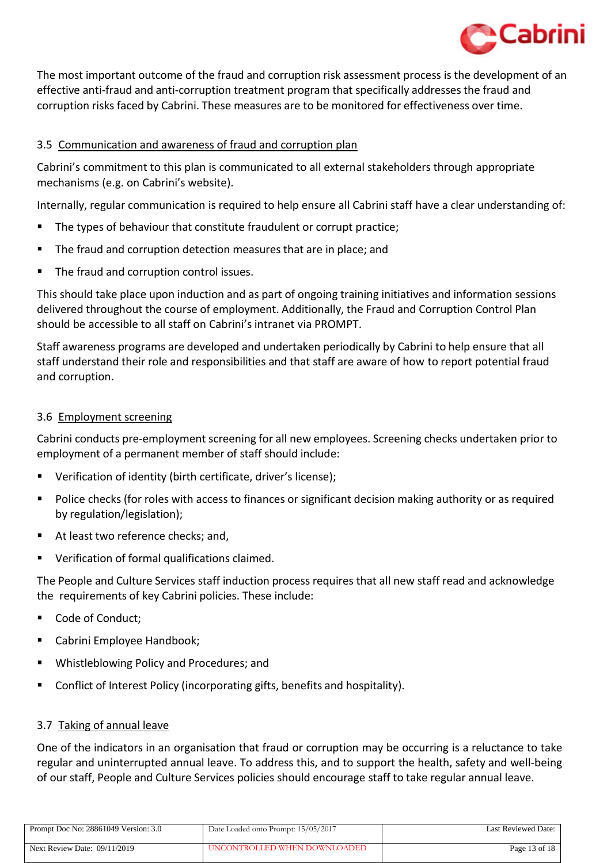

The most important outcome of the fraud and corruption risk assessment process is the development of an effective anti-fraud and anti-corruption treatment program that specifically addresses the fraud and corruption risks faced by Cabrini. These measures are to be monitored for effectiveness over time.

# <span id="page-12-0"></span>3.5 Communication and awareness of fraud and corruption plan

Cabrini's commitment to this plan is communicated to all external stakeholders through appropriate mechanisms (e.g. on Cabrini's website).

Internally, regular communication is required to help ensure all Cabrini staff have a clear understanding of:

- The types of behaviour that constitute fraudulent or corrupt practice;
- **The fraud and corruption detection measures that are in place; and**
- The fraud and corruption control issues.

This should take place upon induction and as part of ongoing training initiatives and information sessions delivered throughout the course of employment. Additionally, the Fraud and Corruption Control Plan should be accessible to all staff on Cabrini's intranet via PROMPT.

Staff awareness programs are developed and undertaken periodically by Cabrini to help ensure that all staff understand their role and responsibilities and that staff are aware of how to report potential fraud and corruption.

#### <span id="page-12-1"></span>3.6 Employment screening

Cabrini conducts pre-employment screening for all new employees. Screening checks undertaken prior to employment of a permanent member of staff should include:

- Verification of identity (birth certificate, driver's license);
- Police checks (for roles with access to finances or significant decision making authority or as required by regulation/legislation);
- At least two reference checks; and,
- Verification of formal qualifications claimed.

The People and Culture Services staff induction process requires that all new staff read and acknowledge the requirements of key Cabrini policies. These include:

- Code of Conduct;
- Cabrini Employee Handbook;
- Whistleblowing Policy and Procedures; and
- Conflict of Interest Policy (incorporating gifts, benefits and hospitality).

#### <span id="page-12-2"></span>3.7 Taking of annual leave

One of the indicators in an organisation that fraud or corruption may be occurring is a reluctance to take regular and uninterrupted annual leave. To address this, and to support the health, safety and well-being of our staff, People and Culture Services policies should encourage staff to take regular annual leave.

| Prompt Doc No: 28861049 Version: 3.0 | Date Loaded onto Prompt: 15/05/2017 | Last Reviewed Date: |
|--------------------------------------|-------------------------------------|---------------------|
| Next Review Date: 09/11/2019         | UNCONTROLLED WHEN DOWNLOADED        | Page $13$ of $18$   |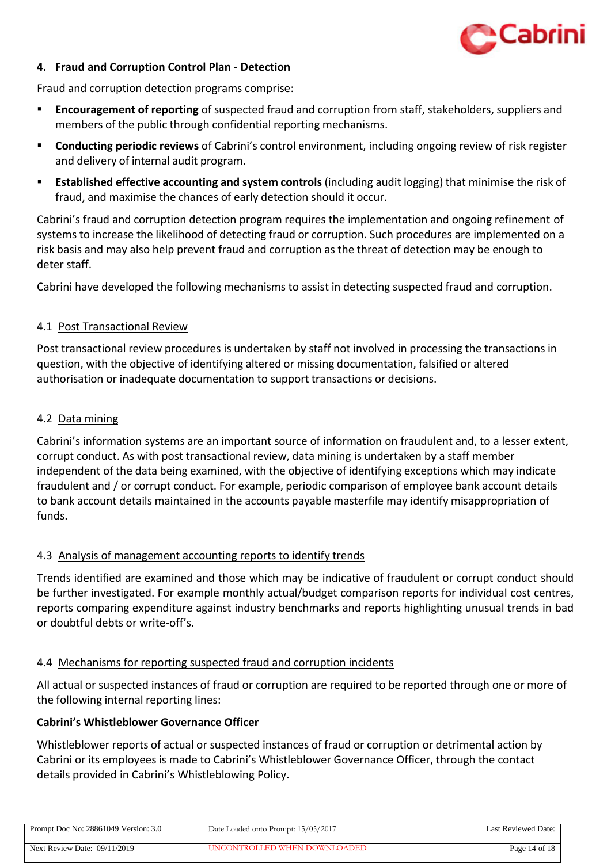

# <span id="page-13-0"></span>**4. Fraud and Corruption Control Plan - Detection**

Fraud and corruption detection programs comprise:

- **Encouragement of reporting** of suspected fraud and corruption from staff, stakeholders, suppliers and members of the public through confidential reporting mechanisms.
- **Conducting periodic reviews** of Cabrini's control environment, including ongoing review of risk register and delivery of internal audit program.
- **Established effective accounting and system controls** (including audit logging) that minimise the risk of fraud, and maximise the chances of early detection should it occur.

Cabrini's fraud and corruption detection program requires the implementation and ongoing refinement of systems to increase the likelihood of detecting fraud or corruption. Such procedures are implemented on a risk basis and may also help prevent fraud and corruption as the threat of detection may be enough to deter staff.

Cabrini have developed the following mechanisms to assist in detecting suspected fraud and corruption.

#### <span id="page-13-1"></span>4.1 Post Transactional Review

Post transactional review procedures is undertaken by staff not involved in processing the transactions in question, with the objective of identifying altered or missing documentation, falsified or altered authorisation or inadequate documentation to support transactions or decisions.

#### <span id="page-13-2"></span>4.2 Data mining

Cabrini's information systems are an important source of information on fraudulent and, to a lesser extent, corrupt conduct. As with post transactional review, data mining is undertaken by a staff member independent of the data being examined, with the objective of identifying exceptions which may indicate fraudulent and / or corrupt conduct. For example, periodic comparison of employee bank account details to bank account details maintained in the accounts payable masterfile may identify misappropriation of funds.

#### <span id="page-13-3"></span>4.3 Analysis of management accounting reports to identify trends

Trends identified are examined and those which may be indicative of fraudulent or corrupt conduct should be further investigated. For example monthly actual/budget comparison reports for individual cost centres, reports comparing expenditure against industry benchmarks and reports highlighting unusual trends in bad or doubtful debts or write-off's.

#### <span id="page-13-4"></span>4.4 Mechanisms for reporting suspected fraud and corruption incidents

All actual or suspected instances of fraud or corruption are required to be reported through one or more of the following internal reporting lines:

#### <span id="page-13-5"></span>**Cabrini's Whistleblower Governance Officer**

Whistleblower reports of actual or suspected instances of fraud or corruption or detrimental action by Cabrini or its employees is made to Cabrini's Whistleblower Governance Officer, through the contact details provided in Cabrini's Whistleblowing Policy.

| Prompt Doc No: 28861049 Version: 3.0 | Date Loaded onto Prompt: 15/05/2017 | <b>Last Reviewed Date:</b> |
|--------------------------------------|-------------------------------------|----------------------------|
| Next Review Date: $09/11/2019$       | UNCONTROLLED WHEN DOWNLOADED        | Page 14 of 18              |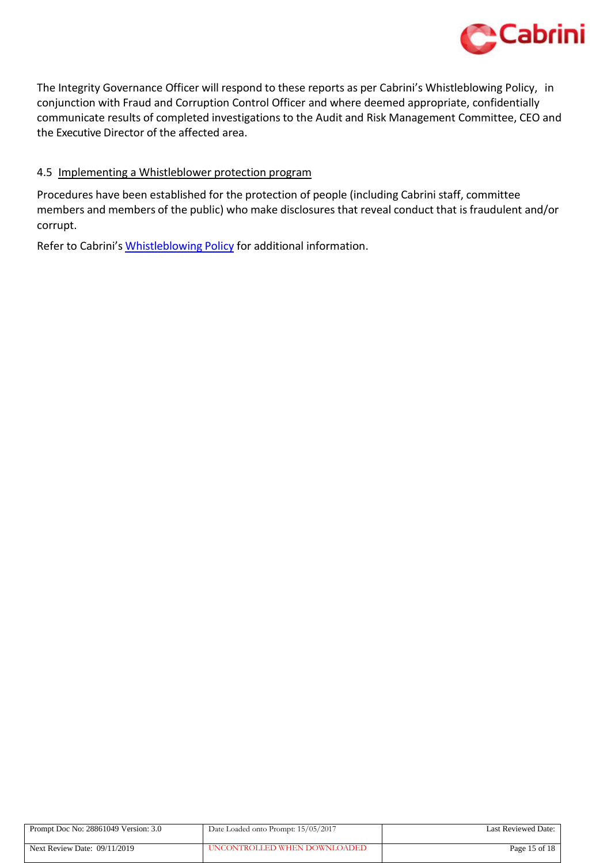

The Integrity Governance Officer will respond to these reports as per Cabrini's Whistleblowing Policy, in conjunction with Fraud and Corruption Control Officer and where deemed appropriate, confidentially communicate results of completed investigations to the Audit and Risk Management Committee, CEO and the Executive Director of the affected area.

# <span id="page-14-0"></span>4.5 Implementing a Whistleblower protection program

Procedures have been established for the protection of people (including Cabrini staff, committee members and members of the public) who make disclosures that reveal conduct that is fraudulent and/or corrupt.

Refer to Cabrini's [Whistleblowing](https://system.prompt.org.au/Download/Document.aspx?id=27536058&code=CD312C90177F6055148ED5E39D63AAEB) Policy for additional information.

| Prompt Doc No: 28861049 Version: 3.0 | Date Loaded onto Prompt: 15/05/2017 | Last Reviewed Date: |
|--------------------------------------|-------------------------------------|---------------------|
| Next Review Date: 09/11/2019         | UNCONTROLLED WHEN DOWNLOADED        | Page 15 of 18       |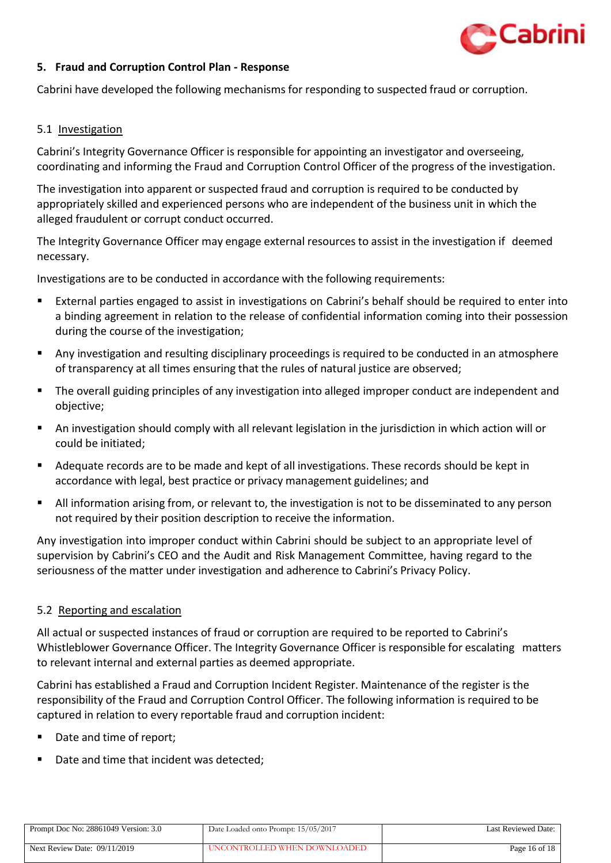

#### <span id="page-15-0"></span>**5. Fraud and Corruption Control Plan - Response**

Cabrini have developed the following mechanisms for responding to suspected fraud or corruption.

#### <span id="page-15-1"></span>5.1 Investigation

Cabrini's Integrity Governance Officer is responsible for appointing an investigator and overseeing, coordinating and informing the Fraud and Corruption Control Officer of the progress of the investigation.

The investigation into apparent or suspected fraud and corruption is required to be conducted by appropriately skilled and experienced persons who are independent of the business unit in which the alleged fraudulent or corrupt conduct occurred.

The Integrity Governance Officer may engage external resources to assist in the investigation if deemed necessary.

Investigations are to be conducted in accordance with the following requirements:

- External parties engaged to assist in investigations on Cabrini's behalf should be required to enter into a binding agreement in relation to the release of confidential information coming into their possession during the course of the investigation;
- Any investigation and resulting disciplinary proceedings is required to be conducted in an atmosphere of transparency at all times ensuring that the rules of natural justice are observed;
- The overall guiding principles of any investigation into alleged improper conduct are independent and objective;
- An investigation should comply with all relevant legislation in the jurisdiction in which action will or could be initiated;
- Adequate records are to be made and kept of all investigations. These records should be kept in accordance with legal, best practice or privacy management guidelines; and
- All information arising from, or relevant to, the investigation is not to be disseminated to any person not required by their position description to receive the information.

Any investigation into improper conduct within Cabrini should be subject to an appropriate level of supervision by Cabrini's CEO and the Audit and Risk Management Committee, having regard to the seriousness of the matter under investigation and adherence to Cabrini's Privacy Policy.

#### <span id="page-15-2"></span>5.2 Reporting and escalation

All actual or suspected instances of fraud or corruption are required to be reported to Cabrini's Whistleblower Governance Officer. The Integrity Governance Officer is responsible for escalating matters to relevant internal and external parties as deemed appropriate.

Cabrini has established a Fraud and Corruption Incident Register. Maintenance of the register is the responsibility of the Fraud and Corruption Control Officer. The following information is required to be captured in relation to every reportable fraud and corruption incident:

- Date and time of report;
- Date and time that incident was detected;

| Prompt Doc No: 28861049 Version: 3.0 | Date Loaded onto Prompt: 15/05/2017 | Last Reviewed Date: |
|--------------------------------------|-------------------------------------|---------------------|
| Next Review Date: $09/11/2019$       | UNCONTROLLED WHEN DOWNLOADED        | Page 16 of $18$     |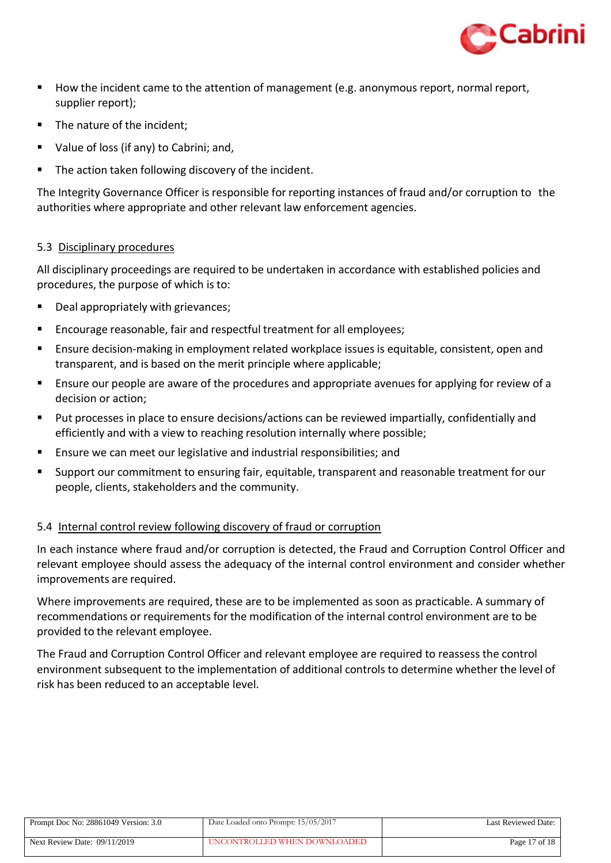

- How the incident came to the attention of management (e.g. anonymous report, normal report, supplier report);
- The nature of the incident;
- Value of loss (if any) to Cabrini; and,
- The action taken following discovery of the incident.

The Integrity Governance Officer is responsible for reporting instances of fraud and/or corruption to the authorities where appropriate and other relevant law enforcement agencies.

# <span id="page-16-0"></span>5.3 Disciplinary procedures

All disciplinary proceedings are required to be undertaken in accordance with established policies and procedures, the purpose of which isto:

- Deal appropriately with grievances;
- Encourage reasonable, fair and respectful treatment for all employees;
- Ensure decision-making in employment related workplace issues is equitable, consistent, open and transparent, and is based on the merit principle where applicable;
- Ensure our people are aware of the procedures and appropriate avenues for applying for review of a decision or action;
- Put processes in place to ensure decisions/actions can be reviewed impartially, confidentially and efficiently and with a view to reaching resolution internally where possible;
- Ensure we can meet our legislative and industrial responsibilities; and
- Support our commitment to ensuring fair, equitable, transparent and reasonable treatment for our people, clients, stakeholders and the community.

# <span id="page-16-1"></span>5.4 Internal control review following discovery of fraud or corruption

In each instance where fraud and/or corruption is detected, the Fraud and Corruption Control Officer and relevant employee should assess the adequacy of the internal control environment and consider whether improvements are required.

Where improvements are required, these are to be implemented as soon as practicable. A summary of recommendations or requirements for the modification of the internal control environment are to be provided to the relevant employee.

The Fraud and Corruption Control Officer and relevant employee are required to reassess the control environment subsequent to the implementation of additional controls to determine whether the level of risk has been reduced to an acceptable level.

| Prompt Doc No: 28861049 Version: 3.0 | Date Loaded onto Prompt: 15/05/2017 | Last Reviewed Date: |
|--------------------------------------|-------------------------------------|---------------------|
| Next Review Date: 09/11/2019         | UNCONTROLLED WHEN DOWNLOADED        | Page 17 of 18       |